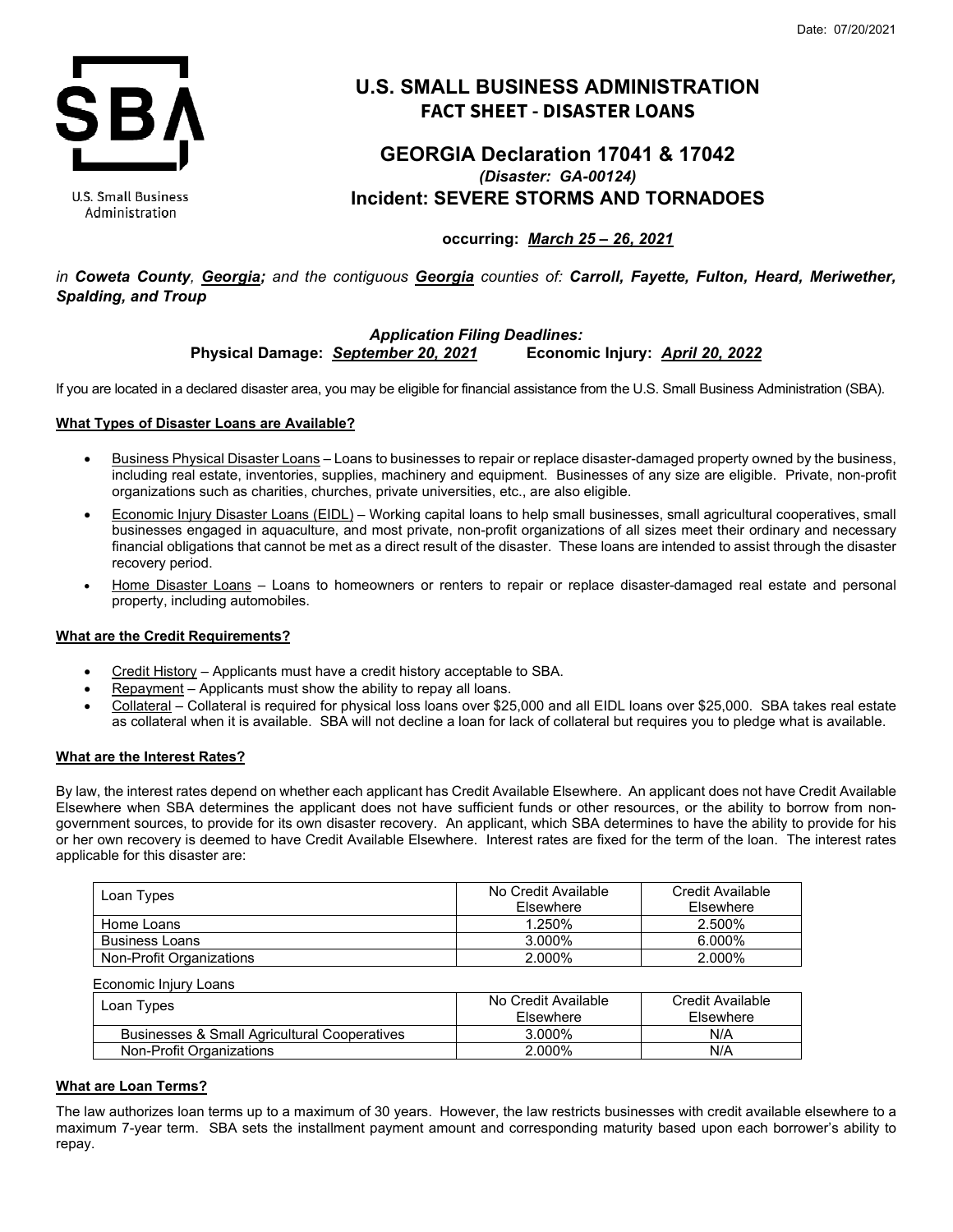

**U.S. Small Business** Administration

# **U.S. SMALL BUSINESS ADMINISTRATION FACT SHEET - DISASTER LOANS**

# **GEORGIA Declaration 17041 & 17042** *(Disaster: GA-00124)* **Incident: SEVERE STORMS AND TORNADOES**

# **occurring:** *March 25 – 26, 2021*

*in Coweta County, Georgia; and the contiguous Georgia counties of: Carroll, Fayette, Fulton, Heard, Meriwether, Spalding, and Troup*

# *Application Filing Deadlines:* **Physical Damage:** *September 20, 2021* **Economic Injury:** *April 20, 2022*

If you are located in a declared disaster area, you may be eligible for financial assistance from the U.S. Small Business Administration (SBA).

## **What Types of Disaster Loans are Available?**

- Business Physical Disaster Loans Loans to businesses to repair or replace disaster-damaged property owned by the business, including real estate, inventories, supplies, machinery and equipment. Businesses of any size are eligible. Private, non-profit organizations such as charities, churches, private universities, etc., are also eligible.
- Economic Injury Disaster Loans (EIDL) Working capital loans to help small businesses, small agricultural cooperatives, small businesses engaged in aquaculture, and most private, non-profit organizations of all sizes meet their ordinary and necessary financial obligations that cannot be met as a direct result of the disaster. These loans are intended to assist through the disaster recovery period.
- Home Disaster Loans Loans to homeowners or renters to repair or replace disaster-damaged real estate and personal property, including automobiles.

## **What are the Credit Requirements?**

- Credit History Applicants must have a credit history acceptable to SBA.
- Repayment Applicants must show the ability to repay all loans.
- Collateral Collateral is required for physical loss loans over \$25,000 and all EIDL loans over \$25,000. SBA takes real estate as collateral when it is available. SBA will not decline a loan for lack of collateral but requires you to pledge what is available.

## **What are the Interest Rates?**

By law, the interest rates depend on whether each applicant has Credit Available Elsewhere. An applicant does not have Credit Available Elsewhere when SBA determines the applicant does not have sufficient funds or other resources, or the ability to borrow from nongovernment sources, to provide for its own disaster recovery. An applicant, which SBA determines to have the ability to provide for his or her own recovery is deemed to have Credit Available Elsewhere. Interest rates are fixed for the term of the loan. The interest rates applicable for this disaster are:

| Loan Types               | No Credit Available<br>Elsewhere | Credit Available<br>Elsewhere |
|--------------------------|----------------------------------|-------------------------------|
| Home Loans               | 1.250%                           | 2.500%                        |
| <b>Business Loans</b>    | 3.000%                           | $6.000\%$                     |
| Non-Profit Organizations | 2.000%                           | 2.000%                        |

Economic Injury Loans

| Loan Types                                   | No Credit Available | Credit Available |
|----------------------------------------------|---------------------|------------------|
|                                              | Elsewhere           | Elsewhere        |
| Businesses & Small Agricultural Cooperatives | 3.000%              | N/A              |
| Non-Profit Organizations                     | 2.000%              | N/A              |

# **What are Loan Terms?**

The law authorizes loan terms up to a maximum of 30 years. However, the law restricts businesses with credit available elsewhere to a maximum 7-year term. SBA sets the installment payment amount and corresponding maturity based upon each borrower's ability to repay.